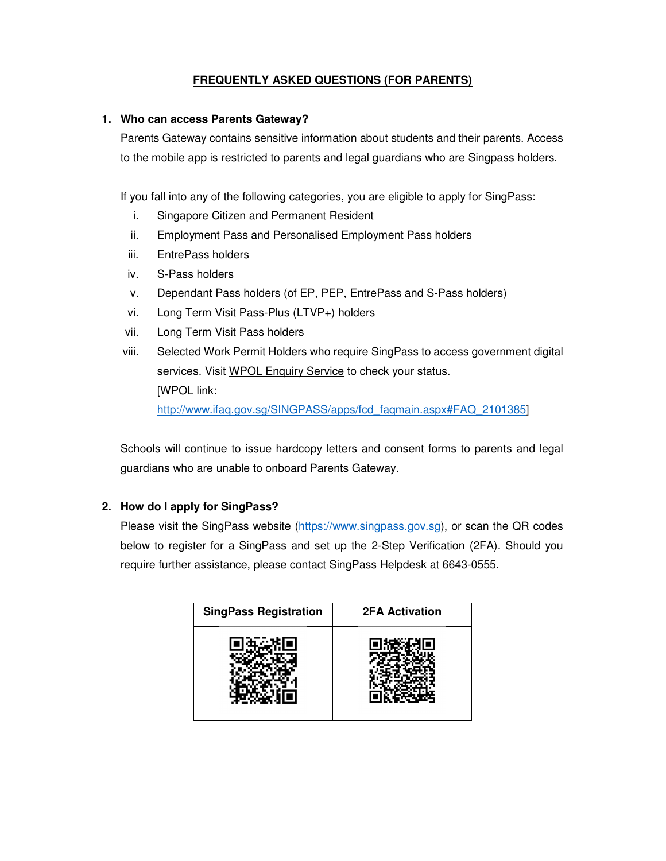# **FREQUENTLY ASKED QUESTIONS (FOR PARENTS)**

# **1. Who can access Parents Gateway?**

Parents Gateway contains sensitive information about students and their parents. Access to the mobile app is restricted to parents and legal guardians who are Singpass holders.

If you fall into any of the following categories, you are eligible to apply for SingPass:

- i. Singapore Citizen and Permanent Resident
- ii. Employment Pass and Personalised Employment Pass holders
- iii. EntrePass holders
- iv. S-Pass holders
- v. Dependant Pass holders (of EP, PEP, EntrePass and S-Pass holders)
- vi. Long Term Visit Pass-Plus (LTVP+) holders
- vii. Long Term Visit Pass holders

viii. Selected Work Permit Holders who require SingPass to access government digital services. Visit WPOL Enquiry Service to check your status. [WPOL link: http://www.ifaq.gov.sg/SINGPASS/apps/fcd\_faqmain.aspx#FAQ\_2101385]

Schools will continue to issue hardcopy letters and consent forms to parents and legal guardians who are unable to onboard Parents Gateway.

# **2. How do I apply for SingPass?**

Please visit the SingPass website (https://www.singpass.gov.sg), or scan the QR codes below to register for a SingPass and set up the 2-Step Verification (2FA). Should you require further assistance, please contact SingPass Helpdesk at 6643-0555.

| <b>SingPass Registration</b> | <b>2FA Activation</b> |
|------------------------------|-----------------------|
|                              |                       |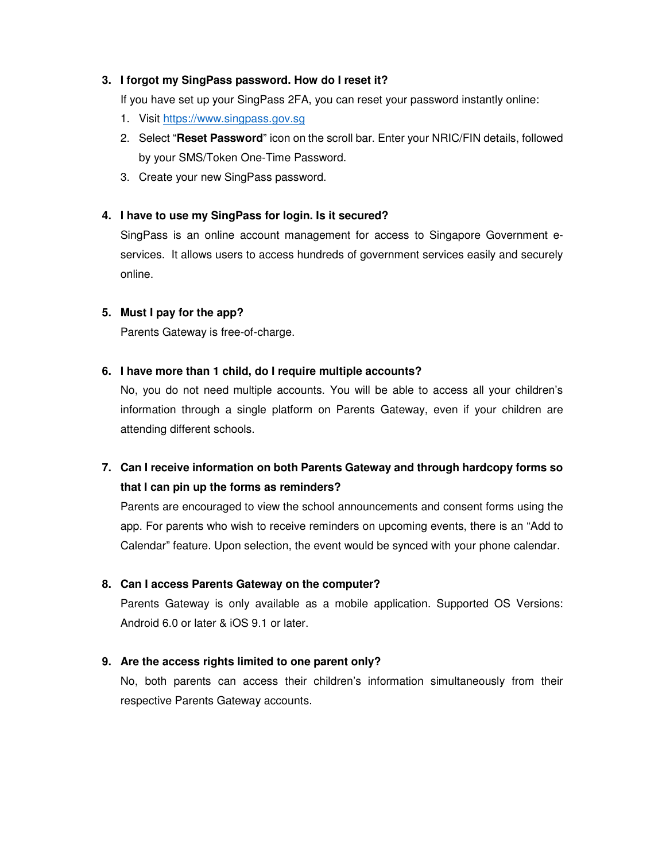# **3. I forgot my SingPass password. How do I reset it?**

If you have set up your SingPass 2FA, you can reset your password instantly online:

- 1. Visit https://www.singpass.gov.sg
- 2. Select "**Reset Password**" icon on the scroll bar. Enter your NRIC/FIN details, followed by your SMS/Token One-Time Password.
- 3. Create your new SingPass password.

# **4. I have to use my SingPass for login. Is it secured?**

SingPass is an online account management for access to Singapore Government eservices. It allows users to access hundreds of government services easily and securely online.

#### **5. Must I pay for the app?**

Parents Gateway is free-of-charge.

#### **6. I have more than 1 child, do I require multiple accounts?**

No, you do not need multiple accounts. You will be able to access all your children's information through a single platform on Parents Gateway, even if your children are attending different schools.

# **7. Can I receive information on both Parents Gateway and through hardcopy forms so that I can pin up the forms as reminders?**

Parents are encouraged to view the school announcements and consent forms using the app. For parents who wish to receive reminders on upcoming events, there is an "Add to Calendar" feature. Upon selection, the event would be synced with your phone calendar.

# **8. Can I access Parents Gateway on the computer?**

Parents Gateway is only available as a mobile application. Supported OS Versions: Android 6.0 or later & iOS 9.1 or later.

# **9. Are the access rights limited to one parent only?**

No, both parents can access their children's information simultaneously from their respective Parents Gateway accounts.